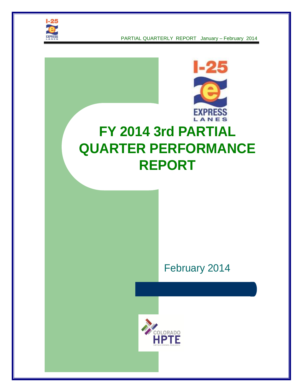



# **FY 2014 3rd PARTIAL QUARTER PERFORMANCE REPORT**

# February 2014

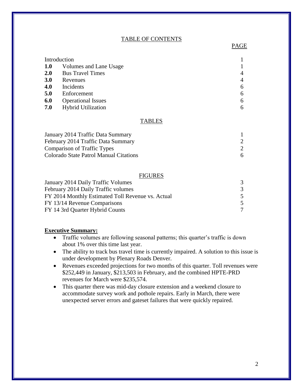#### TABLE OF CONTENTS

| Introduction |                           |   |
|--------------|---------------------------|---|
| <b>1.0</b>   | Volumes and Lane Usage    |   |
| <b>2.0</b>   | <b>Bus Travel Times</b>   |   |
| 3.0          | Revenues                  |   |
| 4.0          | Incidents                 | 6 |
| 5.0          | Enforcement               | 6 |
| 6.0          | <b>Operational Issues</b> | 6 |
| 7.0          | <b>Hybrid Utilization</b> |   |

#### TABLES

| January 2014 Traffic Data Summary      |   |
|----------------------------------------|---|
| February 2014 Traffic Data Summary     |   |
| <b>Comparison of Traffic Types</b>     |   |
| Colorado State Patrol Manual Citations | 6 |

#### FIGURES

| January 2014 Daily Traffic Volumes                |   |
|---------------------------------------------------|---|
| February 2014 Daily Traffic volumes               | 3 |
| FY 2014 Monthly Estimated Toll Revenue vs. Actual |   |
| FY 13/14 Revenue Comparisons                      | 5 |
| FY 14 3rd Quarter Hybrid Counts                   |   |

#### **Executive Summary:**

- Traffic volumes are following seasonal patterns; this quarter's traffic is down about 1% over this time last year.
- The ability to track bus travel time is currently impaired. A solution to this issue is under development by Plenary Roads Denver.
- Revenues exceeded projections for two months of this quarter. Toll revenues were \$252,449 in January, \$213,503 in February, and the combined HPTE-PRD revenues for March were \$235,574.
- This quarter there was mid-day closure extension and a weekend closure to accommodate survey work and pothole repairs. Early in March, there were unexpected server errors and gateset failures that were quickly repaired.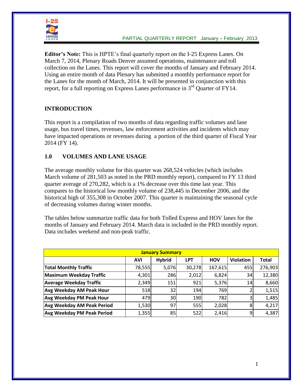

**Editor's Note:** This is HPTE's final quarterly report on the I-25 Express Lanes. On March 7, 2014, Plenary Roads Denver assumed operations, maintenance and toll collection on the Lanes. This report will cover the months of January and February 2014. Using an entire month of data Plenary has submitted a monthly performance report for the Lanes for the month of March, 2014. It will be presented in conjunction with this report, for a full reporting on Express Lanes performance in  $3<sup>rd</sup>$  Quarter of FY14.

# **INTRODUCTION**

This report is a compilation of two months of data regarding traffic volumes and lane usage, bus travel times, revenues, law enforcement activities and incidents which may have impacted operations or revenues during a portion of the third quarter of Fiscal Year 2014 (FY 14).

# **1.0 VOLUMES AND LANE USAGE**

The average monthly volume for this quarter was 268,524 vehicles (which includes March volume of 281,503 as noted in the PRD monthly report), compared to FY 13 third quarter average of 270,282, which is a 1% decrease over this time last year. This compares to the historical low monthly volume of 238,445 in December 2006, and the historical high of 355,308 in October 2007. This quarter is maintaining the seasonal cycle of decreasing volumes during winter months.

The tables below summarize traffic data for both Tolled Express and HOV lanes for the months of January and February 2014. March data is included in the PRD monthly report. Data includes weekend and non-peak traffic.

| <b>January Summary</b>            |            |                 |            |            |                  |              |  |
|-----------------------------------|------------|-----------------|------------|------------|------------------|--------------|--|
|                                   | <b>AVI</b> | <b>Hybrid</b>   | <b>LPT</b> | <b>HOV</b> | <b>Violation</b> | <b>Total</b> |  |
| <b>Total Monthly Traffic</b>      | 78,555     | 5,076           | 30,278     | 167,615    | 455              | 276,903      |  |
| Maximum Weekday Traffic           | 4,301      | 286             | 2,012      | 6,824      | 34               | 12,380       |  |
| <b>Average Weekday Traffic</b>    | 2,349      | 151             | 921        | 5,376      | 14               | 8,660        |  |
| <b>Avg Weekday AM Peak Hour</b>   | 518        | 32 <sub>1</sub> | 194        | 769        |                  | 1,515        |  |
| <b>Avg Weekday PM Peak Hour</b>   | 479        | 30              | 190        | 782        |                  | 1,485        |  |
| <b>Avg Weekday AM Peak Period</b> | 1,530      | 97              | 555        | 2,028      | 8                | 4,217        |  |
| <b>Avg Weekday PM Peak Period</b> | 1,355      | 85              | 522        | 2,416      | 9                | 4,387        |  |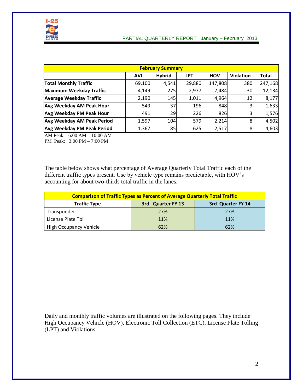

| <b>February Summary</b>           |            |               |            |            |                  |              |  |
|-----------------------------------|------------|---------------|------------|------------|------------------|--------------|--|
|                                   | <b>AVI</b> | <b>Hybrid</b> | <b>LPT</b> | <b>HOV</b> | <b>Violation</b> | <b>Total</b> |  |
| <b>Total Monthly Traffic</b>      | 69,100     | 4,541         | 29,880     | 147,808    | 380              | 247,168      |  |
| Maximum Weekday Traffic           | 4,149      | 275           | 2,977      | 7,484      | 30               | 12,134       |  |
| <b>Average Weekday Traffic</b>    | 2,190      | 145           | 1,011      | 4,964      | 12I              | 8,177        |  |
| <b>Avg Weekday AM Peak Hour</b>   | 549        | 37            | 196        | 848        | 3                | 1,633        |  |
| <b>Avg Weekday PM Peak Hour</b>   | 491        | 29            | 226        | 826        | 3                | 1,576        |  |
| Avg Weekday AM Peak Period        | 1,597      | 104           | 579        | 2,214      | 8                | 4,502        |  |
| <b>Avg Weekday PM Peak Period</b> | 1,367      | 85            | 625        | 2,517      | 8                | 4,603        |  |

AM Peak: 6:00 AM – 10:00 AM PM Peak: 3:00 PM – 7:00 PM

The table below shows what percentage of Average Quarterly Total Traffic each of the different traffic types present. Use by vehicle type remains predictable, with HOV's accounting for about two-thirds total traffic in the lanes.

| <b>Comparison of Traffic Types as Percent of Average Quarterly Total Traffic</b> |     |     |  |  |  |  |  |
|----------------------------------------------------------------------------------|-----|-----|--|--|--|--|--|
| <b>Traffic Type</b><br>3rd Quarter FY 13<br>3rd Quarter FY 14                    |     |     |  |  |  |  |  |
| Transponder                                                                      | 27% | 27% |  |  |  |  |  |
| License Plate Toll                                                               | 11% | 11% |  |  |  |  |  |
| <b>High Occupancy Vehicle</b>                                                    | 62% | 62% |  |  |  |  |  |

Daily and monthly traffic volumes are illustrated on the following pages. They include High Occupancy Vehicle (HOV), Electronic Toll Collection (ETC), License Plate Tolling (LPT) and Violations.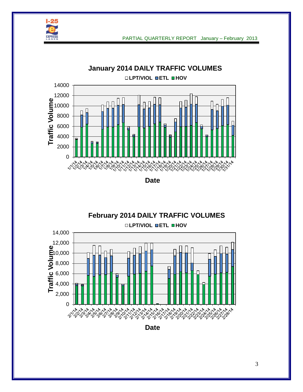



**Date**

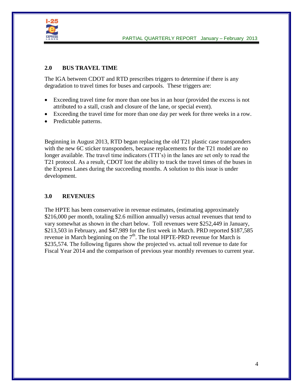

# **2.0 BUS TRAVEL TIME**

The IGA between CDOT and RTD prescribes triggers to determine if there is any degradation to travel times for buses and carpools. These triggers are:

- Exceeding travel time for more than one bus in an hour (provided the excess is not attributed to a stall, crash and closure of the lane, or special event).
- Exceeding the travel time for more than one day per week for three weeks in a row.
- Predictable patterns.

Beginning in August 2013, RTD began replacing the old T21 plastic case transponders with the new 6C sticker transponders, because replacements for the T21 model are no longer available. The travel time indicators (TTI's) in the lanes are set only to read the T21 protocol. As a result, CDOT lost the ability to track the travel times of the buses in the Express Lanes during the succeeding months. A solution to this issue is under development.

# **3.0 REVENUES**

The HPTE has been conservative in revenue estimates, (estimating approximately \$216,000 per month, totaling \$2.6 million annually) versus actual revenues that tend to vary somewhat as shown in the chart below. Toll revenues were \$252,449 in January, \$213,503 in February, and \$47,989 for the first week in March. PRD reported \$187,585 revenue in March beginning on the  $7<sup>th</sup>$ . The total HPTE-PRD revenue for March is \$235,574. The following figures show the projected vs. actual toll revenue to date for Fiscal Year 2014 and the comparison of previous year monthly revenues to current year.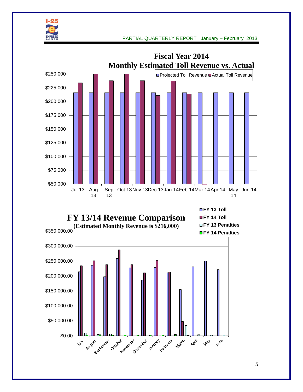





**FY 13 Toll EY 14 Toll FY 13 Penalties FY 14 Penalties**

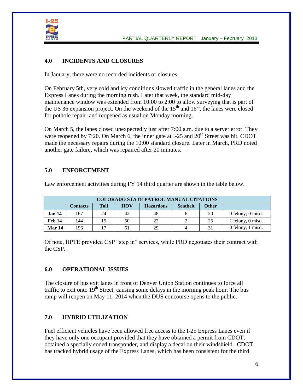

## **4.0 INCIDENTS AND CLOSURES**

In January, there were no recorded incidents or closures.

On February 5th, very cold and icy conditions slowed traffic in the general lanes and the Express Lanes during the morning rush. Later that week, the standard mid-day maintenance window was extended from 10:00 to 2:00 to allow surveying that is part of the US 36 expansion project. On the weekend of the  $15<sup>th</sup>$  and  $16<sup>th</sup>$ , the lanes were closed for pothole repair, and reopened as usual on Monday morning.

On March 5, the lanes closed unexpectedly just after 7:00 a.m. due to a server error. They were reopened by 7:20. On March 6, the inner gate at I-25 and  $20<sup>th</sup>$  Street was hit. CDOT made the necessary repairs during the 10:00 standard closure. Later in March, PRD noted another gate failure, which was repaired after 20 minutes.

# **5.0 ENFORCEMENT**

Law enforcement activities during FY 14 third quarter are shown in the table below.

| <b>COLORADO STATE PATROL MANUAL CITATIONS</b> |                                                                                                     |    |    |    |   |    |                   |  |  |
|-----------------------------------------------|-----------------------------------------------------------------------------------------------------|----|----|----|---|----|-------------------|--|--|
|                                               | <b>Other</b><br><b>HOV</b><br><b>Seathelt</b><br><b>Toll</b><br><b>Hazardous</b><br><b>Contacts</b> |    |    |    |   |    |                   |  |  |
| Jan 14                                        | 167                                                                                                 | 24 | 42 | 48 |   | 20 | 0 felony; 0 misd. |  |  |
| Feb 14                                        | 144                                                                                                 | 15 | 50 | 22 |   | 25 | 1 felony, 0 misd. |  |  |
| <b>Mar 14</b>                                 | 196                                                                                                 |    | 61 | 29 | 4 | 31 | 0 felony, 1 misd. |  |  |

Of note, HPTE provided CSP "step in" services, while PRD negotiates their contract with the CSP.

## **6.0 OPERATIONAL ISSUES**

The closure of bus exit lanes in front of Denver Union Station continues to force all traffic to exit onto  $19<sup>th</sup>$  Street, causing some delays in the morning peak hour. The bus ramp will reopen on May 11, 2014 when the DUS concourse opens to the public.

# **7.0 HYBRID UTILIZATION**

Fuel efficient vehicles have been allowed free access to the I-25 Express Lanes even if they have only one occupant provided that they have obtained a permit from CDOT, obtained a specially coded transponder, and display a decal on their windshield. CDOT has tracked hybrid usage of the Express Lanes, which has been consistent for the third